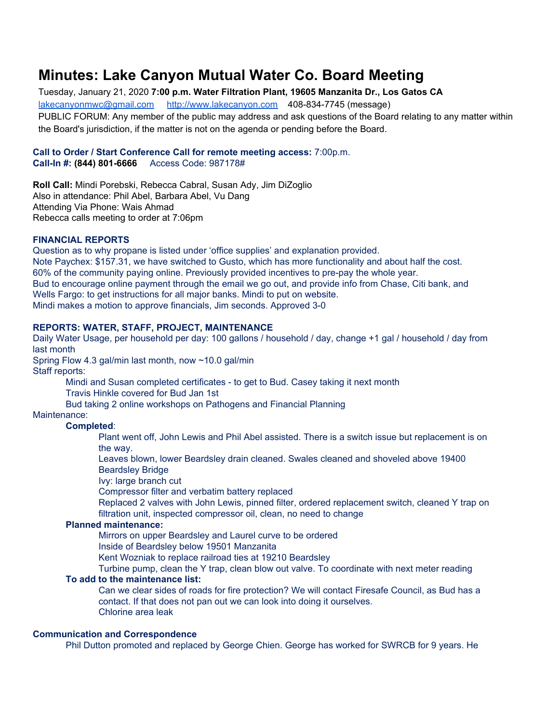# **Minutes: Lake Canyon Mutual Water Co. Board Meeting**

Tuesday, January 21, 2020 **7:00 p.m. Water Filtration Plant, 19605 Manzanita Dr., Los Gatos CA** [lakecanyonmwc@gmail.com](mailto:lakecanyonmwc@gmail.com) [http://www.lakecanyon.com](http://www.lakecanyon.com/) 408-834-7745 (message) PUBLIC FORUM: Any member of the public may address and ask questions of the Board relating to any matter within the Board's jurisdiction, if the matter is not on the agenda or pending before the Board.

#### **Call to Order / Start Conference Call for remote meeting access:** 7:00p.m. **Call-In #: (844) 801-6666** Access Code: 987178#

**Roll Call:** Mindi Porebski, Rebecca Cabral, Susan Ady, Jim DiZoglio Also in attendance: Phil Abel, Barbara Abel, Vu Dang Attending Via Phone: Wais Ahmad Rebecca calls meeting to order at 7:06pm

#### **FINANCIAL REPORTS**

Question as to why propane is listed under 'office supplies' and explanation provided. Note Paychex: \$157.31, we have switched to Gusto, which has more functionality and about half the cost. 60% of the community paying online. Previously provided incentives to pre-pay the whole year. Bud to encourage online payment through the email we go out, and provide info from Chase, Citi bank, and Wells Fargo: to get instructions for all major banks. Mindi to put on website. Mindi makes a motion to approve financials, Jim seconds. Approved 3-0

#### **REPORTS: WATER, STAFF, PROJECT, MAINTENANCE**

Daily Water Usage, per household per day: 100 gallons / household / day, change +1 gal / household / day from last month

Spring Flow 4.3 gal/min last month, now ~10.0 gal/min

Staff reports:

Mindi and Susan completed certificates - to get to Bud. Casey taking it next month

Travis Hinkle covered for Bud Jan 1st

Bud taking 2 online workshops on Pathogens and Financial Planning

Maintenance:

# **Completed**:

Plant went off, John Lewis and Phil Abel assisted. There is a switch issue but replacement is on the way.

Leaves blown, lower Beardsley drain cleaned. Swales cleaned and shoveled above 19400 Beardsley Bridge

Ivy: large branch cut

Compressor filter and verbatim battery replaced

Replaced 2 valves with John Lewis, pinned filter, ordered replacement switch, cleaned Y trap on filtration unit, inspected compressor oil, clean, no need to change

# **Planned maintenance:**

Mirrors on upper Beardsley and Laurel curve to be ordered Inside of Beardsley below 19501 Manzanita

Kent Wozniak to replace railroad ties at 19210 Beardsley

Turbine pump, clean the Y trap, clean blow out valve. To coordinate with next meter reading

#### **To add to the maintenance list:**

Can we clear sides of roads for fire protection? We will contact Firesafe Council, as Bud has a contact. If that does not pan out we can look into doing it ourselves. Chlorine area leak

#### **Communication and Correspondence**

Phil Dutton promoted and replaced by George Chien. George has worked for SWRCB for 9 years. He